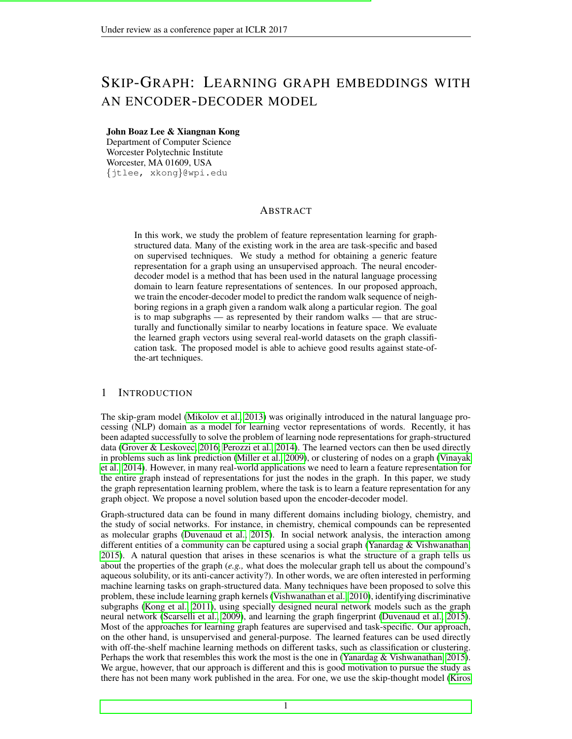# SKIP-GRAPH: LEARNING GRAPH EMBEDDINGS WITH AN ENCODER-DECODER MODEL

## John Boaz Lee & Xiangnan Kong

Department of Computer Science Worcester Polytechnic Institute Worcester, MA 01609, USA {jtlee, xkong}@wpi.edu

## ABSTRACT

In this work, we study the problem of feature representation learning for graphstructured data. Many of the existing work in the area are task-specific and based on supervised techniques. We study a method for obtaining a generic feature representation for a graph using an unsupervised approach. The neural encoderdecoder model is a method that has been used in the natural language processing domain to learn feature representations of sentences. In our proposed approach, we train the encoder-decoder model to predict the random walk sequence of neighboring regions in a graph given a random walk along a particular region. The goal is to map subgraphs — as represented by their random walks — that are structurally and functionally similar to nearby locations in feature space. We evaluate the learned graph vectors using several real-world datasets on the graph classification task. The proposed model is able to achieve good results against state-ofthe-art techniques.

## 1 INTRODUCTION

The skip-gram model [\(Mikolov et al., 2013\)](#page-8-0) was originally introduced in the natural language processing (NLP) domain as a model for learning vector representations of words. Recently, it has been adapted successfully to solve the problem of learning node representations for graph-structured data [\(Grover & Leskovec, 2016;](#page-8-1) [Perozzi et al., 2014\)](#page-8-2). The learned vectors can then be used directly in problems such as link prediction [\(Miller et al., 2009\)](#page-8-3), or clustering of nodes on a graph [\(Vinayak](#page-8-4) [et al., 2014\)](#page-8-4). However, in many real-world applications we need to learn a feature representation for the entire graph instead of representations for just the nodes in the graph. In this paper, we study the graph representation learning problem, where the task is to learn a feature representation for any graph object. We propose a novel solution based upon the encoder-decoder model.

Graph-structured data can be found in many different domains including biology, chemistry, and the study of social networks. For instance, in chemistry, chemical compounds can be represented as molecular graphs [\(Duvenaud et al., 2015\)](#page-8-5). In social network analysis, the interaction among different entities of a community can be captured using a social graph [\(Yanardag & Vishwanathan,](#page-9-0) [2015\)](#page-9-0). A natural question that arises in these scenarios is what the structure of a graph tells us about the properties of the graph (*e.g.,* what does the molecular graph tell us about the compound's aqueous solubility, or its anti-cancer activity?). In other words, we are often interested in performing machine learning tasks on graph-structured data. Many techniques have been proposed to solve this problem, these include learning graph kernels [\(Vishwanathan et al., 2010\)](#page-8-6), identifying discriminative subgraphs [\(Kong et al., 2011\)](#page-8-7), using specially designed neural network models such as the graph neural network [\(Scarselli et al., 2009\)](#page-8-8), and learning the graph fingerprint [\(Duvenaud et al., 2015\)](#page-8-5). Most of the approaches for learning graph features are supervised and task-specific. Our approach, on the other hand, is unsupervised and general-purpose. The learned features can be used directly with off-the-shelf machine learning methods on different tasks, such as classification or clustering. Perhaps the work that resembles this work the most is the one in (Yanardag  $&$  Vishwanathan, 2015). We argue, however, that our approach is different and this is good motivation to pursue the study as there has not been many work published in the area. For one, we use the skip-thought model [\(Kiros](#page-8-9)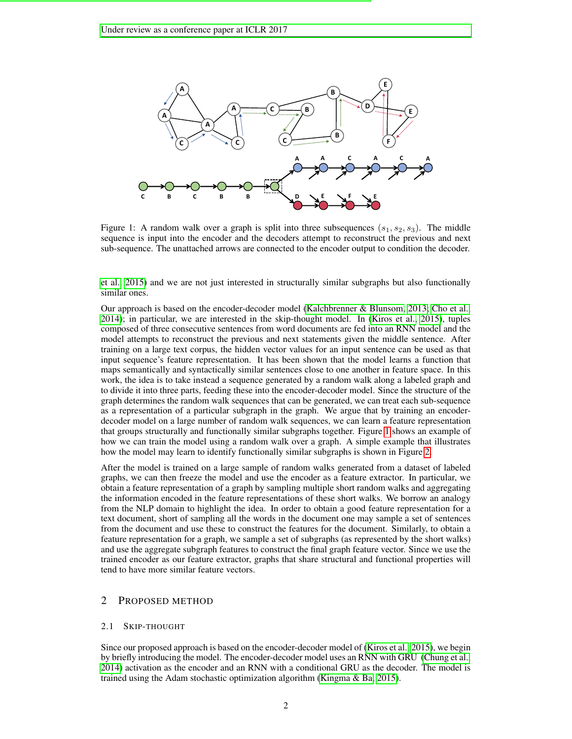

<span id="page-1-0"></span>Figure 1: A random walk over a graph is split into three subsequences  $(s_1, s_2, s_3)$ . The middle sequence is input into the encoder and the decoders attempt to reconstruct the previous and next sub-sequence. The unattached arrows are connected to the encoder output to condition the decoder.

[et al., 2015\)](#page-8-9) and we are not just interested in structurally similar subgraphs but also functionally similar ones.

Our approach is based on the encoder-decoder model [\(Kalchbrenner & Blunsom, 2013;](#page-8-10) [Cho et al.,](#page-7-0) [2014\)](#page-7-0); in particular, we are interested in the skip-thought model. In [\(Kiros et al., 2015\)](#page-8-9), tuples composed of three consecutive sentences from word documents are fed into an RNN model and the model attempts to reconstruct the previous and next statements given the middle sentence. After training on a large text corpus, the hidden vector values for an input sentence can be used as that input sequence's feature representation. It has been shown that the model learns a function that maps semantically and syntactically similar sentences close to one another in feature space. In this work, the idea is to take instead a sequence generated by a random walk along a labeled graph and to divide it into three parts, feeding these into the encoder-decoder model. Since the structure of the graph determines the random walk sequences that can be generated, we can treat each sub-sequence as a representation of a particular subgraph in the graph. We argue that by training an encoderdecoder model on a large number of random walk sequences, we can learn a feature representation that groups structurally and functionally similar subgraphs together. Figure [1](#page-1-0) shows an example of how we can train the model using a random walk over a graph. A simple example that illustrates how the model may learn to identify functionally similar subgraphs is shown in Figure [2.](#page-2-0)

After the model is trained on a large sample of random walks generated from a dataset of labeled graphs, we can then freeze the model and use the encoder as a feature extractor. In particular, we obtain a feature representation of a graph by sampling multiple short random walks and aggregating the information encoded in the feature representations of these short walks. We borrow an analogy from the NLP domain to highlight the idea. In order to obtain a good feature representation for a text document, short of sampling all the words in the document one may sample a set of sentences from the document and use these to construct the features for the document. Similarly, to obtain a feature representation for a graph, we sample a set of subgraphs (as represented by the short walks) and use the aggregate subgraph features to construct the final graph feature vector. Since we use the trained encoder as our feature extractor, graphs that share structural and functional properties will tend to have more similar feature vectors.

## 2 PROPOSED METHOD

#### 2.1 SKIP-THOUGHT

Since our proposed approach is based on the encoder-decoder model of [\(Kiros et al., 2015\)](#page-8-9), we begin by briefly introducing the model. The encoder-decoder model uses an RNN with GRU [\(Chung et al.,](#page-8-11) [2014\)](#page-8-11) activation as the encoder and an RNN with a conditional GRU as the decoder. The model is trained using the Adam stochastic optimization algorithm [\(Kingma & Ba, 2015\)](#page-8-12).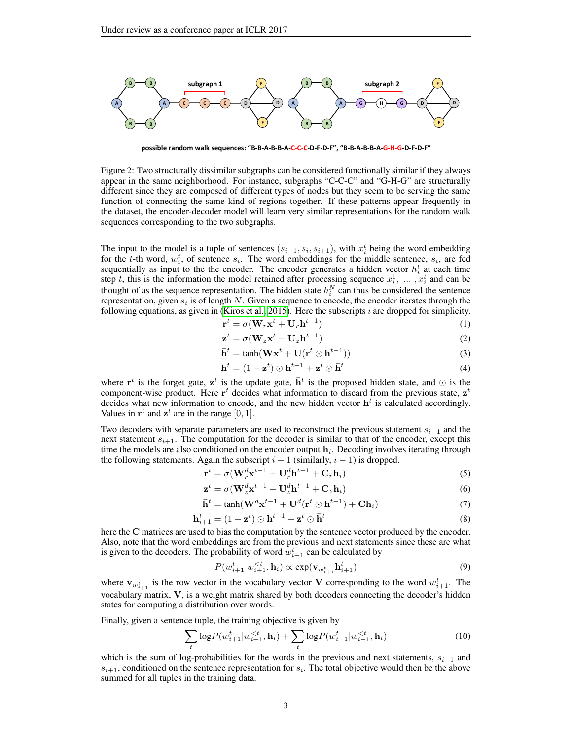

<span id="page-2-0"></span>possible random walk sequences: "B-B-A-B-B-A-C-C-D-F-D-F", "B-B-A-B-B-A-G-H-G-D-F-D-F"

Figure 2: Two structurally dissimilar subgraphs can be considered functionally similar if they always appear in the same neighborhood. For instance, subgraphs "C-C-C" and "G-H-G" are structurally different since they are composed of different types of nodes but they seem to be serving the same function of connecting the same kind of regions together. If these patterns appear frequently in the dataset, the encoder-decoder model will learn very similar representations for the random walk sequences corresponding to the two subgraphs.

The input to the model is a tuple of sentences  $(s_{i-1}, s_i, s_{i+1})$ , with  $x_i^t$  being the word embedding for the t-th word,  $w_i^t$ , of sentence  $s_i$ . The word embeddings for the middle sentence,  $s_i$ , are fed sequentially as input to the the encoder. The encoder generates a hidden vector  $h_i^t$  at each time step t, this is the information the model retained after processing sequence  $x_i^1, \ldots, x_i^t$  and can be thought of as the sequence representation. The hidden state  $h_i^N$  can thus be considered the sentence representation, given  $s_i$  is of length N. Given a sequence to encode, the encoder iterates through the following equations, as given in [\(Kiros et al., 2015\)](#page-8-9). Here the subscripts  $i$  are dropped for simplicity.

$$
\mathbf{r}^t = \sigma(\mathbf{W}_r \mathbf{x}^t + \mathbf{U}_r \mathbf{h}^{t-1})
$$
\n(1)

$$
\mathbf{z}^t = \sigma(\mathbf{W}_z \mathbf{x}^t + \mathbf{U}_z \mathbf{h}^{t-1})
$$
 (2)

$$
\mathbf{\bar{h}}^{t} = \tanh(\mathbf{W}\mathbf{x}^{t} + \mathbf{U}(\mathbf{r}^{t} \odot \mathbf{h}^{t-1}))
$$
\n(3)

$$
\mathbf{h}^{t} = (1 - \mathbf{z}^{t}) \odot \mathbf{h}^{t-1} + \mathbf{z}^{t} \odot \bar{\mathbf{h}}^{t}
$$
 (4)

where  $\mathbf{r}^t$  is the forget gate,  $\mathbf{z}^t$  is the update gate,  $\bar{\mathbf{h}}^t$  is the proposed hidden state, and  $\odot$  is the component-wise product. Here  $r^t$  decides what information to discard from the previous state,  $z^t$ decides what new information to encode, and the new hidden vector  $h<sup>t</sup>$  is calculated accordingly. Values in  $\mathbf{r}^t$  and  $\mathbf{z}^t$  are in the range [0, 1].

Two decoders with separate parameters are used to reconstruct the previous statement  $s_{i-1}$  and the next statement  $s_{i+1}$ . The computation for the decoder is similar to that of the encoder, except this time the models are also conditioned on the encoder output  $h_i$ . Decoding involves iterating through the following statements. Again the subscript  $i + 1$  (similarly,  $i - 1$ ) is dropped.

$$
\mathbf{r}^{t} = \sigma(\mathbf{W}_{r}^{d} \mathbf{x}^{t-1} + \mathbf{U}_{r}^{d} \mathbf{h}^{t-1} + \mathbf{C}_{r} \mathbf{h}_{i})
$$
\n(5)

$$
\mathbf{z}^{t} = \sigma(\mathbf{W}_{z}^{d} \mathbf{x}^{t-1} + \mathbf{U}_{z}^{d} \mathbf{h}^{t-1} + \mathbf{C}_{z} \mathbf{h}_{i})
$$
(6)

$$
\overline{\mathbf{h}}^{t} = \tanh(\mathbf{W}^{d} \mathbf{x}^{t-1} + \mathbf{U}^{d} (\mathbf{r}^{t} \odot \mathbf{h}^{t-1}) + \mathbf{C} \mathbf{h}_{i})
$$
\n(7)

$$
\mathbf{h}_{i+1}^t = (1 - \mathbf{z}^t) \odot \mathbf{h}^{t-1} + \mathbf{z}^t \odot \bar{\mathbf{h}}^t
$$
 (8)

here the C matrices are used to bias the computation by the sentence vector produced by the encoder. Also, note that the word embeddings are from the previous and next statements since these are what is given to the decoders. The probability of word  $\hat{w}_{i+1}^t$  can be calculated by

$$
P(w_{i+1}^t | w_{i+1}^{< t}, \mathbf{h}_i) \propto \exp(\mathbf{v}_{w_{i+1}^t} \mathbf{h}_{i+1}^t)
$$
\n
$$
\tag{9}
$$

where  $\mathbf{v}_{w_{i+1}^t}$  is the row vector in the vocabulary vector V corresponding to the word  $w_{i+1}^t$ . The vocabulary matrix, V, is a weight matrix shared by both decoders connecting the decoder's hidden states for computing a distribution over words.

Finally, given a sentence tuple, the training objective is given by

$$
\sum_{t} \log P(w_{i+1}^{t} | w_{i+1}^{< t}, \mathbf{h}_{i}) + \sum_{t} \log P(w_{i-1}^{t} | w_{i-1}^{< t}, \mathbf{h}_{i}) \tag{10}
$$

which is the sum of log-probabilities for the words in the previous and next statements,  $s_{i-1}$  and  $s_{i+1}$ , conditioned on the sentence representation for  $s_i$ . The total objective would then be the above summed for all tuples in the training data.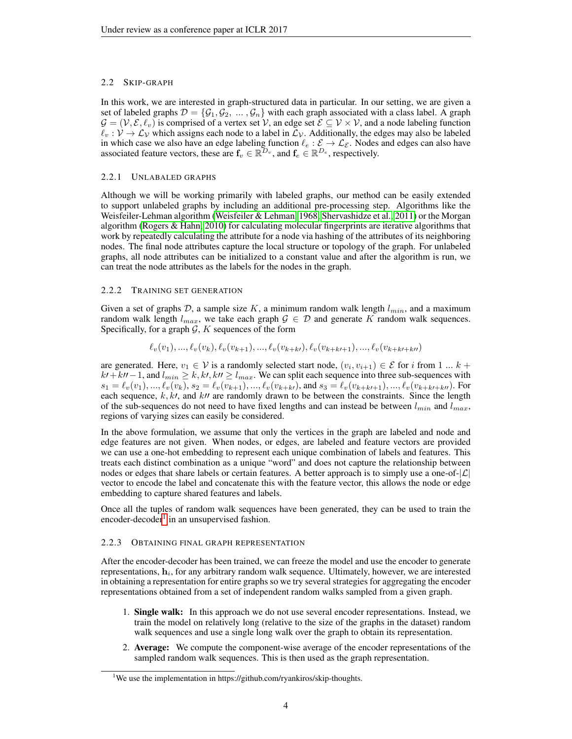# 2.2 SKIP-GRAPH

In this work, we are interested in graph-structured data in particular. In our setting, we are given a set of labeled graphs  $\mathcal{D} = \{\mathcal{G}_1, \mathcal{G}_2, \dots, \mathcal{G}_n\}$  with each graph associated with a class label. A graph  $\mathcal{G} = (\mathcal{V}, \mathcal{E}, \ell_v)$  is comprised of a vertex set  $\mathcal{V}$ , an edge set  $\mathcal{E} \subseteq \mathcal{V} \times \mathcal{V}$ , and a node labeling function  $\ell_v : \mathcal{V} \to \mathcal{L}_\mathcal{V}$  which assigns each node to a label in  $\mathcal{L}_\mathcal{V}$ . Additionally, the edges may also be labeled in which case we also have an edge labeling function  $\ell_e : \mathcal{E} \to \mathcal{L}_{\mathcal{E}}$ . Nodes and edges can also have associated feature vectors, these are  $f_v \in \mathbb{R}^{\mathcal{D}_v}$ , and  $f_e \in \mathbb{R}^{\mathcal{D}_e}$ , respectively.

## 2.2.1 UNLABALED GRAPHS

Although we will be working primarily with labeled graphs, our method can be easily extended to support unlabeled graphs by including an additional pre-processing step. Algorithms like the Weisfeiler-Lehman algorithm [\(Weisfeiler & Lehman, 1968;](#page-9-1) [Shervashidze et al., 2011\)](#page-8-13) or the Morgan algorithm [\(Rogers & Hahn, 2010\)](#page-8-14) for calculating molecular fingerprints are iterative algorithms that work by repeatedly calculating the attribute for a node via hashing of the attributes of its neighboring nodes. The final node attributes capture the local structure or topology of the graph. For unlabeled graphs, all node attributes can be initialized to a constant value and after the algorithm is run, we can treat the node attributes as the labels for the nodes in the graph.

# 2.2.2 TRAINING SET GENERATION

Given a set of graphs D, a sample size K, a minimum random walk length  $l_{min}$ , and a maximum random walk length  $l_{max}$ , we take each graph  $\mathcal{G} \in \mathcal{D}$  and generate K random walk sequences. Specifically, for a graph  $G, K$  sequences of the form

 $\ell_v(v_1), \ldots, \ell_v(v_k), \ell_v(v_{k+1}), \ldots, \ell_v(v_{k+k'})$ ,  $\ell_v(v_{k+k+1}), \ldots, \ell_v(v_{k+k+k})$ 

are generated. Here,  $v_1 \in V$  is a randomly selected start node,  $(v_i, v_{i+1}) \in \mathcal{E}$  for i from 1 ...  $k +$  $k+1$ , and  $l_{min} \ge k, k\prime, k\prime\prime \ge l_{max}$ . We can split each sequence into three sub-sequences with  $s_1 = \ell_v(v_1), ..., \ell_v(v_k), s_2 = \ell_v(v_{k+1}), ..., \ell_v(v_{k+k})$ , and  $s_3 = \ell_v(v_{k+k+1}), ..., \ell_v(v_{k+k+k})$ . For each sequence,  $k, k\prime$ , and  $k\prime\prime$  are randomly drawn to be between the constraints. Since the length of the sub-sequences do not need to have fixed lengths and can instead be between  $l_{min}$  and  $l_{max}$ , regions of varying sizes can easily be considered.

In the above formulation, we assume that only the vertices in the graph are labeled and node and edge features are not given. When nodes, or edges, are labeled and feature vectors are provided we can use a one-hot embedding to represent each unique combination of labels and features. This treats each distinct combination as a unique "word" and does not capture the relationship between nodes or edges that share labels or certain features. A better approach is to simply use a one-of- $|\mathcal{L}|$ vector to encode the label and concatenate this with the feature vector, this allows the node or edge embedding to capture shared features and labels.

Once all the tuples of random walk sequences have been generated, they can be used to train the encoder-decoder<sup>[1](#page-3-0)</sup> in an unsupervised fashion.

## 2.2.3 OBTAINING FINAL GRAPH REPRESENTATION

After the encoder-decoder has been trained, we can freeze the model and use the encoder to generate representations,  $\mathbf{h}_i$ , for any arbitrary random walk sequence. Ultimately, however, we are interested in obtaining a representation for entire graphs so we try several strategies for aggregating the encoder representations obtained from a set of independent random walks sampled from a given graph.

- 1. Single walk: In this approach we do not use several encoder representations. Instead, we train the model on relatively long (relative to the size of the graphs in the dataset) random walk sequences and use a single long walk over the graph to obtain its representation.
- 2. Average: We compute the component-wise average of the encoder representations of the sampled random walk sequences. This is then used as the graph representation.

<span id="page-3-0"></span><sup>&</sup>lt;sup>1</sup>We use the implementation in https://github.com/ryankiros/skip-thoughts.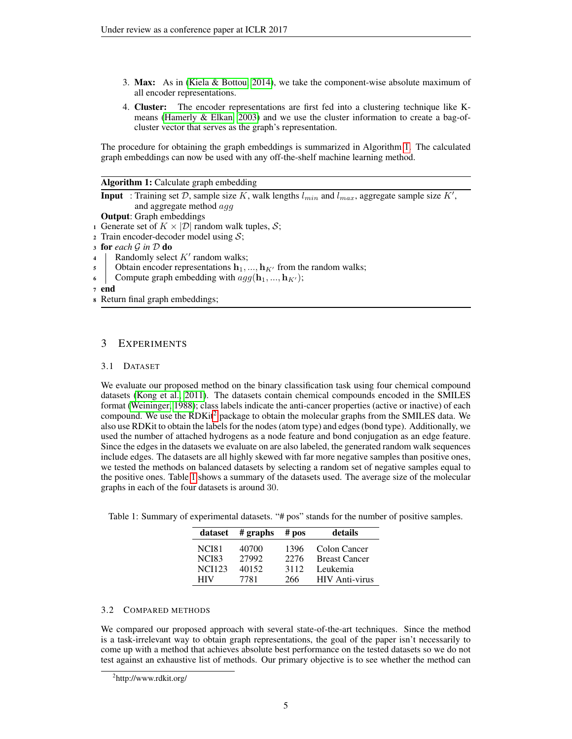- 3. Max: As in [\(Kiela & Bottou, 2014\)](#page-8-15), we take the component-wise absolute maximum of all encoder representations.
- 4. Cluster: The encoder representations are first fed into a clustering technique like Kmeans [\(Hamerly & Elkan, 2003\)](#page-8-16) and we use the cluster information to create a bag-ofcluster vector that serves as the graph's representation.

The procedure for obtaining the graph embeddings is summarized in Algorithm [1.](#page-4-0) The calculated graph embeddings can now be used with any off-the-shelf machine learning method.

|  |  | Algorithm 1: Calculate graph embedding |
|--|--|----------------------------------------|
|  |  |                                        |

**Input**: Training set D, sample size K, walk lengths  $l_{min}$  and  $l_{max}$ , aggregate sample size K', and aggregate method agg

Output: Graph embeddings

1 Generate set of  $K \times |\mathcal{D}|$  random walk tuples,  $\mathcal{S}$ ;

- 2 Train encoder-decoder model using  $S$ ;
- <sup>3</sup> for *each* G *in* D do
- 4 | Randomly select  $K'$  random walks;
- 5 Obtain encoder representations  $\mathbf{h}_1, ..., \mathbf{h}_{K'}$  from the random walks;
- 6 Compute graph embedding with  $agg(\mathbf{h}_1, ..., \mathbf{h}_{K'});$
- <sup>7</sup> end
- <span id="page-4-0"></span><sup>8</sup> Return final graph embeddings;

# 3 EXPERIMENTS

### 3.1 DATASET

We evaluate our proposed method on the binary classification task using four chemical compound datasets [\(Kong et al., 2011\)](#page-8-7). The datasets contain chemical compounds encoded in the SMILES format [\(Weininger, 1988\)](#page-9-2); class labels indicate the anti-cancer properties (active or inactive) of each compound. We use the RDKit<sup>[2](#page-4-1)</sup> package to obtain the molecular graphs from the SMILES data. We also use RDKit to obtain the labels for the nodes (atom type) and edges (bond type). Additionally, we used the number of attached hydrogens as a node feature and bond conjugation as an edge feature. Since the edges in the datasets we evaluate on are also labeled, the generated random walk sequences include edges. The datasets are all highly skewed with far more negative samples than positive ones, we tested the methods on balanced datasets by selecting a random set of negative samples equal to the positive ones. Table [1](#page-4-2) shows a summary of the datasets used. The average size of the molecular graphs in each of the four datasets is around 30.

<span id="page-4-2"></span>Table 1: Summary of experimental datasets. "# pos" stands for the number of positive samples.

| dataset       | $#$ graphs | $#$ pos | details               |
|---------------|------------|---------|-----------------------|
| <b>NCI81</b>  | 40700      | 1396    | Colon Cancer          |
| <b>NCI83</b>  | 27992      | 2276    | <b>Breast Cancer</b>  |
| <b>NCI123</b> | 40152      | 3112    | Leukemia              |
| HIV           | 7781       | 266     | <b>HIV</b> Anti-virus |

## 3.2 COMPARED METHODS

We compared our proposed approach with several state-of-the-art techniques. Since the method is a task-irrelevant way to obtain graph representations, the goal of the paper isn't necessarily to come up with a method that achieves absolute best performance on the tested datasets so we do not test against an exhaustive list of methods. Our primary objective is to see whether the method can

<span id="page-4-1"></span><sup>&</sup>lt;sup>2</sup>http://www.rdkit.org/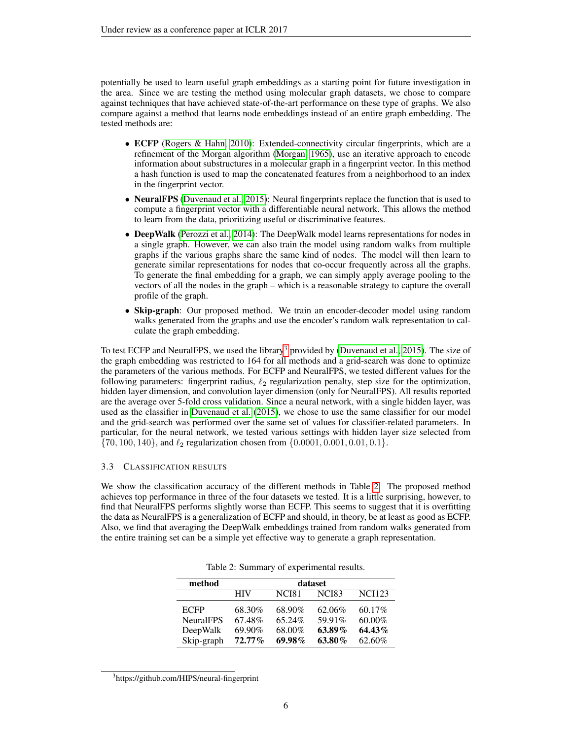potentially be used to learn useful graph embeddings as a starting point for future investigation in the area. Since we are testing the method using molecular graph datasets, we chose to compare against techniques that have achieved state-of-the-art performance on these type of graphs. We also compare against a method that learns node embeddings instead of an entire graph embedding. The tested methods are:

- ECFP [\(Rogers & Hahn, 2010\)](#page-8-14): Extended-connectivity circular fingerprints, which are a refinement of the Morgan algorithm [\(Morgan, 1965\)](#page-8-17), use an iterative approach to encode information about substructures in a molecular graph in a fingerprint vector. In this method a hash function is used to map the concatenated features from a neighborhood to an index in the fingerprint vector.
- NeuralFPS [\(Duvenaud et al., 2015\)](#page-8-5): Neural fingerprints replace the function that is used to compute a fingerprint vector with a differentiable neural network. This allows the method to learn from the data, prioritizing useful or discriminative features.
- DeepWalk [\(Perozzi et al., 2014\)](#page-8-2): The DeepWalk model learns representations for nodes in a single graph. However, we can also train the model using random walks from multiple graphs if the various graphs share the same kind of nodes. The model will then learn to generate similar representations for nodes that co-occur frequently across all the graphs. To generate the final embedding for a graph, we can simply apply average pooling to the vectors of all the nodes in the graph – which is a reasonable strategy to capture the overall profile of the graph.
- Skip-graph: Our proposed method. We train an encoder-decoder model using random walks generated from the graphs and use the encoder's random walk representation to calculate the graph embedding.

To test ECFP and NeuralFPS, we used the library<sup>[3](#page-5-0)</sup> provided by [\(Duvenaud et al., 2015\)](#page-8-5). The size of the graph embedding was restricted to 164 for all methods and a grid-search was done to optimize the parameters of the various methods. For ECFP and NeuralFPS, we tested different values for the following parameters: fingerprint radius,  $\ell_2$  regularization penalty, step size for the optimization, hidden layer dimension, and convolution layer dimension (only for NeuralFPS). All results reported are the average over 5-fold cross validation. Since a neural network, with a single hidden layer, was used as the classifier in [Duvenaud et al.](#page-8-5) [\(2015\)](#page-8-5), we chose to use the same classifier for our model and the grid-search was performed over the same set of values for classifier-related parameters. In particular, for the neural network, we tested various settings with hidden layer size selected from  $\{70, 100, 140\}$ , and  $\ell_2$  regularization chosen from  $\{0.0001, 0.001, 0.01, 0.1\}$ .

#### 3.3 CLASSIFICATION RESULTS

We show the classification accuracy of the different methods in Table [2.](#page-5-1) The proposed method achieves top performance in three of the four datasets we tested. It is a little surprising, however, to find that NeuralFPS performs slightly worse than ECFP. This seems to suggest that it is overfitting the data as NeuralFPS is a generalization of ECFP and should, in theory, be at least as good as ECFP. Also, we find that averaging the DeepWalk embeddings trained from random walks generated from the entire training set can be a simple yet effective way to generate a graph representation.

| method           | dataset    |              |                   |               |  |  |
|------------------|------------|--------------|-------------------|---------------|--|--|
|                  | <b>HIV</b> | <b>NCI81</b> | NCI <sub>83</sub> | <b>NCI123</b> |  |  |
| <b>ECFP</b>      | 68.30%     | 68.90%       | 62.06%            | $60.17\%$     |  |  |
| <b>NeuralFPS</b> | 67.48%     | 65.24%       | 59.91%            | 60.00%        |  |  |
| DeepWalk         | 69.90%     | 68.00%       | $63.89\%$         | 64.43%        |  |  |
| Skip-graph       | $72.77\%$  | $69.98\%$    | 63.80%            | 62.60%        |  |  |

<span id="page-5-1"></span>Table 2: Summary of experimental results.

<span id="page-5-0"></span><sup>3</sup> https://github.com/HIPS/neural-fingerprint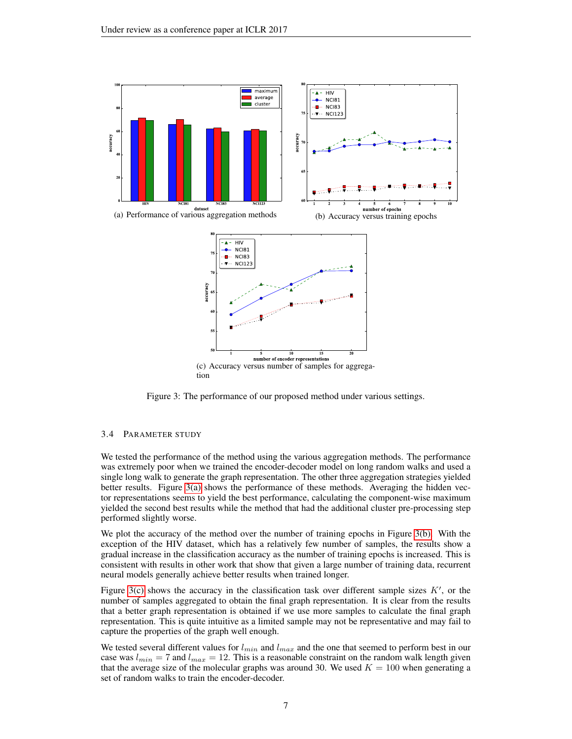<span id="page-6-1"></span><span id="page-6-0"></span>

<span id="page-6-2"></span>Figure 3: The performance of our proposed method under various settings.

## 3.4 PARAMETER STUDY

We tested the performance of the method using the various aggregation methods. The performance was extremely poor when we trained the encoder-decoder model on long random walks and used a single long walk to generate the graph representation. The other three aggregation strategies yielded better results. Figure [3\(a\)](#page-6-0) shows the performance of these methods. Averaging the hidden vector representations seems to yield the best performance, calculating the component-wise maximum yielded the second best results while the method that had the additional cluster pre-processing step performed slightly worse.

We plot the accuracy of the method over the number of training epochs in Figure [3\(b\).](#page-6-1) With the exception of the HIV dataset, which has a relatively few number of samples, the results show a gradual increase in the classification accuracy as the number of training epochs is increased. This is consistent with results in other work that show that given a large number of training data, recurrent neural models generally achieve better results when trained longer.

Figure [3\(c\)](#page-6-2) shows the accuracy in the classification task over different sample sizes  $K'$ , or the number of samples aggregated to obtain the final graph representation. It is clear from the results that a better graph representation is obtained if we use more samples to calculate the final graph representation. This is quite intuitive as a limited sample may not be representative and may fail to capture the properties of the graph well enough.

We tested several different values for  $l_{min}$  and  $l_{max}$  and the one that seemed to perform best in our case was  $l_{min} = 7$  and  $l_{max} = 12$ . This is a reasonable constraint on the random walk length given that the average size of the molecular graphs was around 30. We used  $K = 100$  when generating a set of random walks to train the encoder-decoder.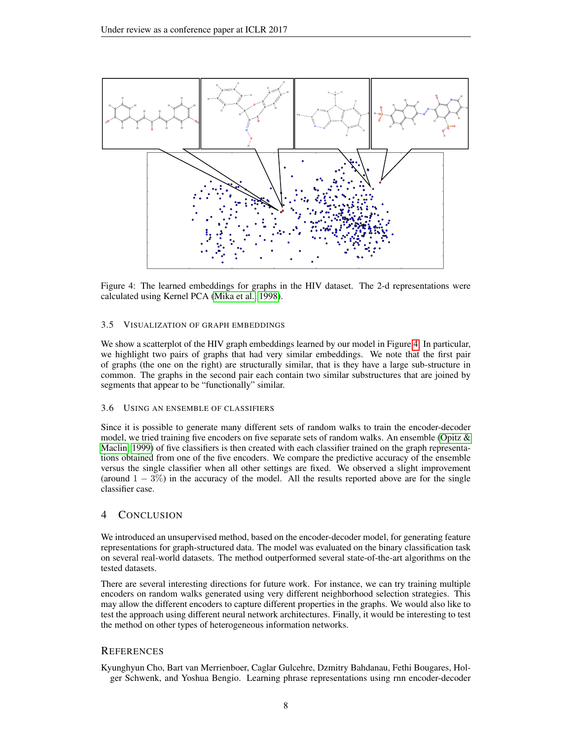

<span id="page-7-1"></span>Figure 4: The learned embeddings for graphs in the HIV dataset. The 2-d representations were calculated using Kernel PCA [\(Mika et al., 1998\)](#page-8-18).

### 3.5 VISUALIZATION OF GRAPH EMBEDDINGS

We show a scatterplot of the HIV graph embeddings learned by our model in Figure [4.](#page-7-1) In particular, we highlight two pairs of graphs that had very similar embeddings. We note that the first pair of graphs (the one on the right) are structurally similar, that is they have a large sub-structure in common. The graphs in the second pair each contain two similar substructures that are joined by segments that appear to be "functionally" similar.

#### 3.6 USING AN ENSEMBLE OF CLASSIFIERS

Since it is possible to generate many different sets of random walks to train the encoder-decoder model, we tried training five encoders on five separate sets of random walks. An ensemble [\(Opitz &](#page-8-19) [Maclin, 1999\)](#page-8-19) of five classifiers is then created with each classifier trained on the graph representations obtained from one of the five encoders. We compare the predictive accuracy of the ensemble versus the single classifier when all other settings are fixed. We observed a slight improvement (around  $1 - 3\%$ ) in the accuracy of the model. All the results reported above are for the single classifier case.

## 4 CONCLUSION

We introduced an unsupervised method, based on the encoder-decoder model, for generating feature representations for graph-structured data. The model was evaluated on the binary classification task on several real-world datasets. The method outperformed several state-of-the-art algorithms on the tested datasets.

There are several interesting directions for future work. For instance, we can try training multiple encoders on random walks generated using very different neighborhood selection strategies. This may allow the different encoders to capture different properties in the graphs. We would also like to test the approach using different neural network architectures. Finally, it would be interesting to test the method on other types of heterogeneous information networks.

## **REFERENCES**

<span id="page-7-0"></span>Kyunghyun Cho, Bart van Merrienboer, Caglar Gulcehre, Dzmitry Bahdanau, Fethi Bougares, Holger Schwenk, and Yoshua Bengio. Learning phrase representations using rnn encoder-decoder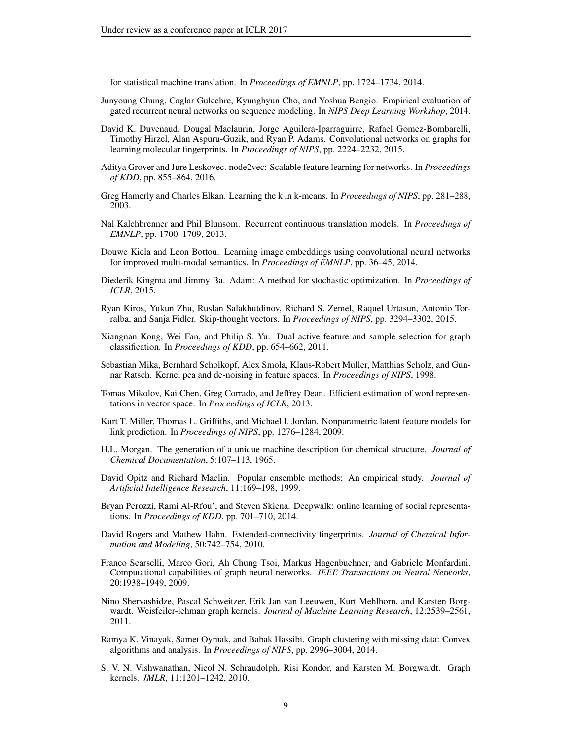for statistical machine translation. In *Proceedings of EMNLP*, pp. 1724–1734, 2014.

- <span id="page-8-11"></span>Junyoung Chung, Caglar Gulcehre, Kyunghyun Cho, and Yoshua Bengio. Empirical evaluation of gated recurrent neural networks on sequence modeling. In *NIPS Deep Learning Workshop*, 2014.
- <span id="page-8-5"></span>David K. Duvenaud, Dougal Maclaurin, Jorge Aguilera-Iparraguirre, Rafael Gomez-Bombarelli, Timothy Hirzel, Alan Aspuru-Guzik, and Ryan P. Adams. Convolutional networks on graphs for learning molecular fingerprints. In *Proceedings of NIPS*, pp. 2224–2232, 2015.
- <span id="page-8-1"></span>Aditya Grover and Jure Leskovec. node2vec: Scalable feature learning for networks. In *Proceedings of KDD*, pp. 855–864, 2016.
- <span id="page-8-16"></span>Greg Hamerly and Charles Elkan. Learning the k in k-means. In *Proceedings of NIPS*, pp. 281–288, 2003.
- <span id="page-8-10"></span>Nal Kalchbrenner and Phil Blunsom. Recurrent continuous translation models. In *Proceedings of EMNLP*, pp. 1700–1709, 2013.
- <span id="page-8-15"></span>Douwe Kiela and Leon Bottou. Learning image embeddings using convolutional neural networks for improved multi-modal semantics. In *Proceedings of EMNLP*, pp. 36–45, 2014.
- <span id="page-8-12"></span>Diederik Kingma and Jimmy Ba. Adam: A method for stochastic optimization. In *Proceedings of ICLR*, 2015.
- <span id="page-8-9"></span>Ryan Kiros, Yukun Zhu, Ruslan Salakhutdinov, Richard S. Zemel, Raquel Urtasun, Antonio Torralba, and Sanja Fidler. Skip-thought vectors. In *Proceedings of NIPS*, pp. 3294–3302, 2015.
- <span id="page-8-7"></span>Xiangnan Kong, Wei Fan, and Philip S. Yu. Dual active feature and sample selection for graph classification. In *Proceedings of KDD*, pp. 654–662, 2011.
- <span id="page-8-18"></span>Sebastian Mika, Bernhard Scholkopf, Alex Smola, Klaus-Robert Muller, Matthias Scholz, and Gunnar Ratsch. Kernel pca and de-noising in feature spaces. In *Proceedings of NIPS*, 1998.
- <span id="page-8-0"></span>Tomas Mikolov, Kai Chen, Greg Corrado, and Jeffrey Dean. Efficient estimation of word representations in vector space. In *Proceedings of ICLR*, 2013.
- <span id="page-8-3"></span>Kurt T. Miller, Thomas L. Griffiths, and Michael I. Jordan. Nonparametric latent feature models for link prediction. In *Proceedings of NIPS*, pp. 1276–1284, 2009.
- <span id="page-8-17"></span>H.L. Morgan. The generation of a unique machine description for chemical structure. *Journal of Chemical Documentation*, 5:107–113, 1965.
- <span id="page-8-19"></span>David Opitz and Richard Maclin. Popular ensemble methods: An empirical study. *Journal of Artificial Intelligence Research*, 11:169–198, 1999.
- <span id="page-8-2"></span>Bryan Perozzi, Rami Al-Rfou', and Steven Skiena. Deepwalk: online learning of social representations. In *Proceedings of KDD*, pp. 701–710, 2014.
- <span id="page-8-14"></span>David Rogers and Mathew Hahn. Extended-connectivity fingerprints. *Journal of Chemical Information and Modeling*, 50:742–754, 2010.
- <span id="page-8-8"></span>Franco Scarselli, Marco Gori, Ah Chung Tsoi, Markus Hagenbuchner, and Gabriele Monfardini. Computational capabilities of graph neural networks. *IEEE Transactions on Neural Networks*, 20:1938–1949, 2009.
- <span id="page-8-13"></span>Nino Shervashidze, Pascal Schweitzer, Erik Jan van Leeuwen, Kurt Mehlhorn, and Karsten Borgwardt. Weisfeiler-lehman graph kernels. *Journal of Machine Learning Research*, 12:2539–2561, 2011.
- <span id="page-8-4"></span>Ramya K. Vinayak, Samet Oymak, and Babak Hassibi. Graph clustering with missing data: Convex algorithms and analysis. In *Proceedings of NIPS*, pp. 2996–3004, 2014.
- <span id="page-8-6"></span>S. V. N. Vishwanathan, Nicol N. Schraudolph, Risi Kondor, and Karsten M. Borgwardt. Graph kernels. *JMLR*, 11:1201–1242, 2010.